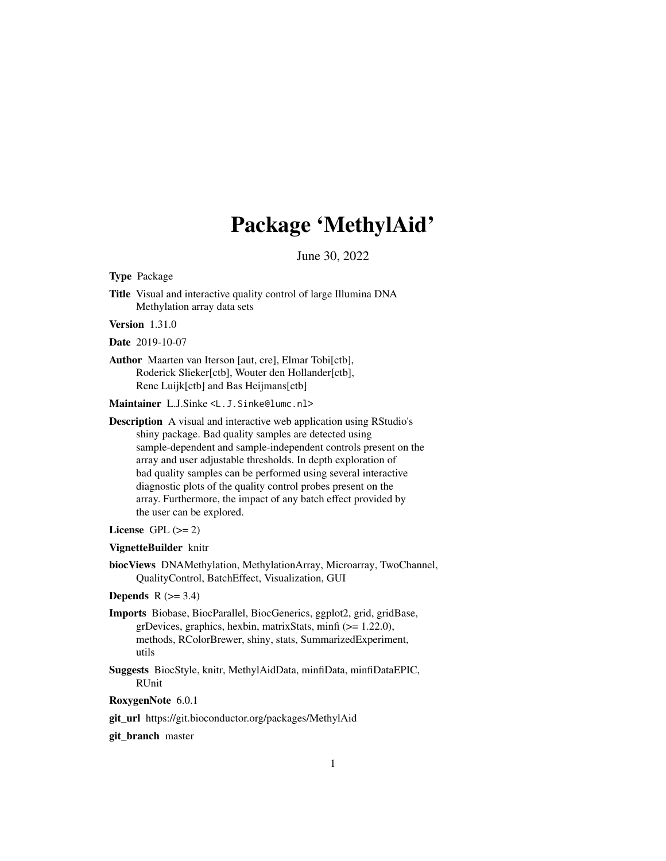## Package 'MethylAid'

June 30, 2022

Type Package

Title Visual and interactive quality control of large Illumina DNA Methylation array data sets

Version 1.31.0

Date 2019-10-07

Author Maarten van Iterson [aut, cre], Elmar Tobi[ctb], Roderick Slieker[ctb], Wouter den Hollander[ctb], Rene Luijk[ctb] and Bas Heijmans[ctb]

Maintainer L.J.Sinke <L.J.Sinke@lumc.nl>

Description A visual and interactive web application using RStudio's shiny package. Bad quality samples are detected using sample-dependent and sample-independent controls present on the array and user adjustable thresholds. In depth exploration of bad quality samples can be performed using several interactive diagnostic plots of the quality control probes present on the array. Furthermore, the impact of any batch effect provided by the user can be explored.

License GPL  $(>= 2)$ 

VignetteBuilder knitr

biocViews DNAMethylation, MethylationArray, Microarray, TwoChannel, QualityControl, BatchEffect, Visualization, GUI

**Depends**  $R$  ( $>= 3.4$ )

- Imports Biobase, BiocParallel, BiocGenerics, ggplot2, grid, gridBase, grDevices, graphics, hexbin, matrixStats, minfi (>= 1.22.0), methods, RColorBrewer, shiny, stats, SummarizedExperiment, utils
- Suggests BiocStyle, knitr, MethylAidData, minfiData, minfiDataEPIC, RUnit

RoxygenNote 6.0.1

git\_url https://git.bioconductor.org/packages/MethylAid

git\_branch master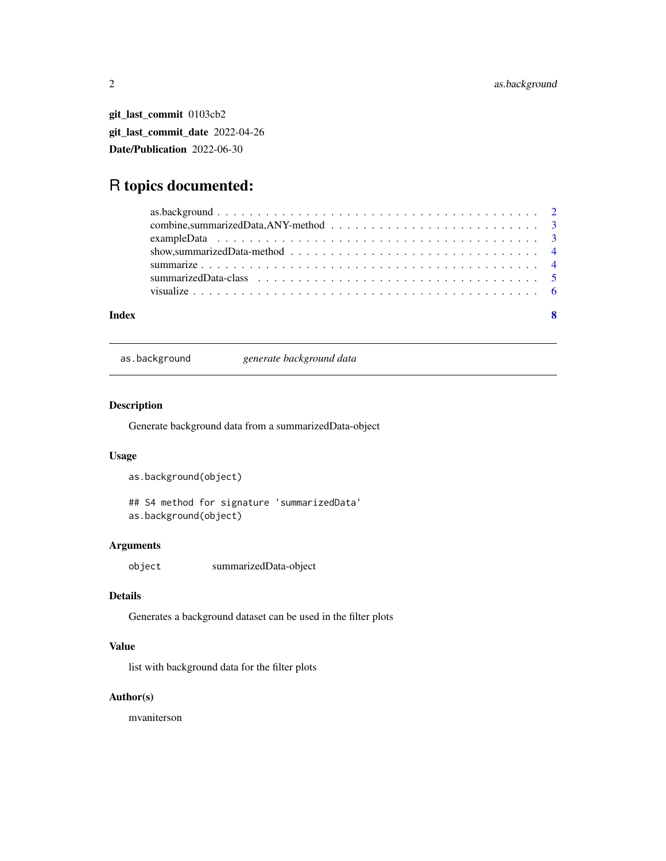<span id="page-1-0"></span>git\_last\_commit 0103cb2 git\_last\_commit\_date 2022-04-26 Date/Publication 2022-06-30

### R topics documented:

| Index |  |
|-------|--|
|       |  |
|       |  |
|       |  |
|       |  |
|       |  |
|       |  |
|       |  |

as.background *generate background data*

#### Description

Generate background data from a summarizedData-object

#### Usage

```
as.background(object)
```

```
## S4 method for signature 'summarizedData'
as.background(object)
```
#### Arguments

object summarizedData-object

#### Details

Generates a background dataset can be used in the filter plots

#### Value

list with background data for the filter plots

#### Author(s)

mvaniterson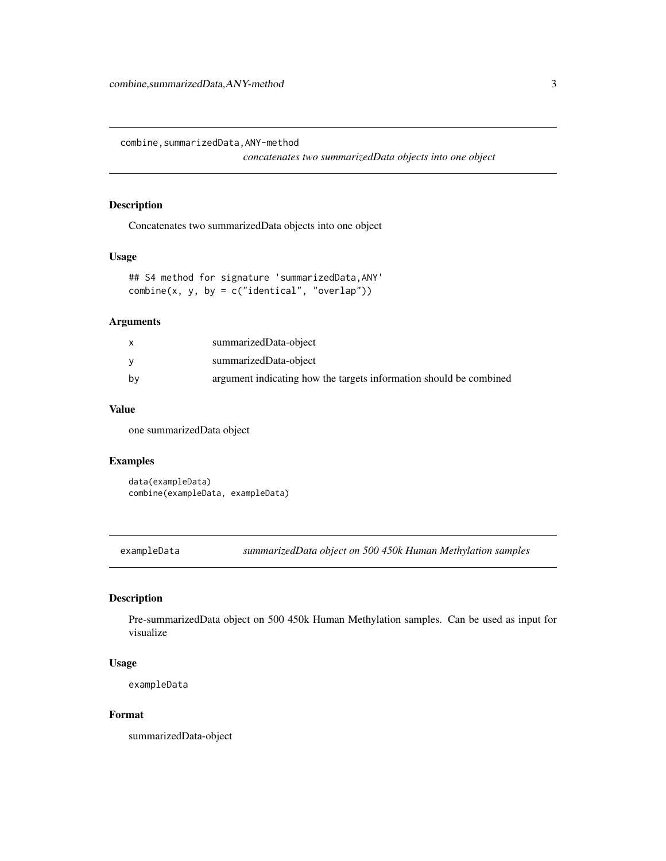<span id="page-2-0"></span>combine,summarizedData,ANY-method

*concatenates two summarizedData objects into one object*

#### Description

Concatenates two summarizedData objects into one object

#### Usage

```
## S4 method for signature 'summarizedData,ANY'
combine(x, y, by = c("identical", "overlap"))
```
#### Arguments

|    | summarizedData-object                                              |
|----|--------------------------------------------------------------------|
|    | summarizedData-object                                              |
| bv | argument indicating how the targets information should be combined |

#### Value

one summarizedData object

#### Examples

```
data(exampleData)
combine(exampleData, exampleData)
```
exampleData *summarizedData object on 500 450k Human Methylation samples*

#### Description

Pre-summarizedData object on 500 450k Human Methylation samples. Can be used as input for visualize

#### Usage

exampleData

#### Format

summarizedData-object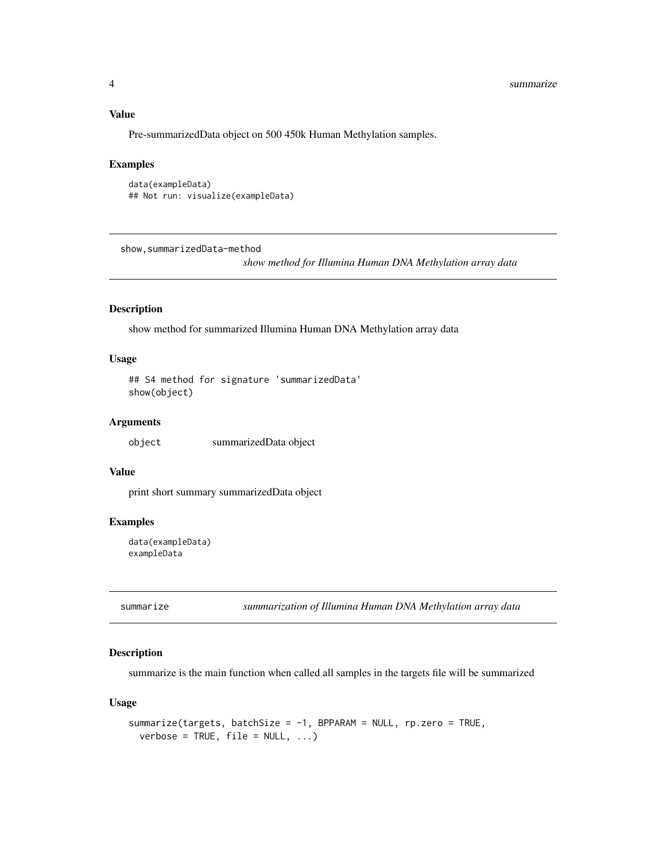#### <span id="page-3-0"></span>Value

Pre-summarizedData object on 500 450k Human Methylation samples.

#### Examples

```
data(exampleData)
## Not run: visualize(exampleData)
```
show,summarizedData-method

*show method for Illumina Human DNA Methylation array data*

#### Description

show method for summarized Illumina Human DNA Methylation array data

#### Usage

```
## S4 method for signature 'summarizedData'
show(object)
```
#### Arguments

object summarizedData object

#### Value

print short summary summarizedData object

#### Examples

```
data(exampleData)
exampleData
```
summarize *summarization of Illumina Human DNA Methylation array data*

#### Description

summarize is the main function when called all samples in the targets file will be summarized

#### Usage

```
summarize(targets, batchSize = -1, BPPARAM = NULL, rp.zero = TRUE,
 verbose = TRUE, file = NULL, ...)
```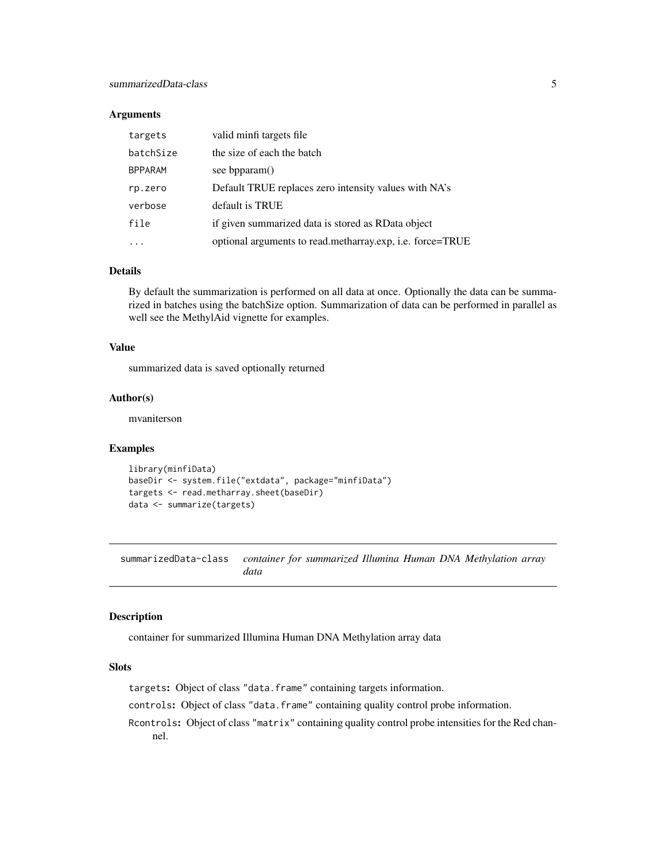#### <span id="page-4-0"></span>**Arguments**

| targets        | valid minfi targets file                                  |
|----------------|-----------------------------------------------------------|
| batchSize      | the size of each the batch                                |
| <b>BPPARAM</b> | see bpparam()                                             |
| rp.zero        | Default TRUE replaces zero intensity values with NA's     |
| verbose        | default is TRUE                                           |
| file           | if given summarized data is stored as RData object        |
|                | optional arguments to read.metharray.exp, i.e. force=TRUE |

#### Details

By default the summarization is performed on all data at once. Optionally the data can be summarized in batches using the batchSize option. Summarization of data can be performed in parallel as well see the MethylAid vignette for examples.

#### Value

summarized data is saved optionally returned

#### Author(s)

mvaniterson

#### Examples

```
library(minfiData)
baseDir <- system.file("extdata", package="minfiData")
targets <- read.metharray.sheet(baseDir)
data <- summarize(targets)
```
summarizedData-class *container for summarized Illumina Human DNA Methylation array data*

#### Description

container for summarized Illumina Human DNA Methylation array data

#### **Slots**

targets: Object of class "data.frame" containing targets information.

controls: Object of class "data.frame" containing quality control probe information.

Rcontrols: Object of class "matrix" containing quality control probe intensities for the Red channel.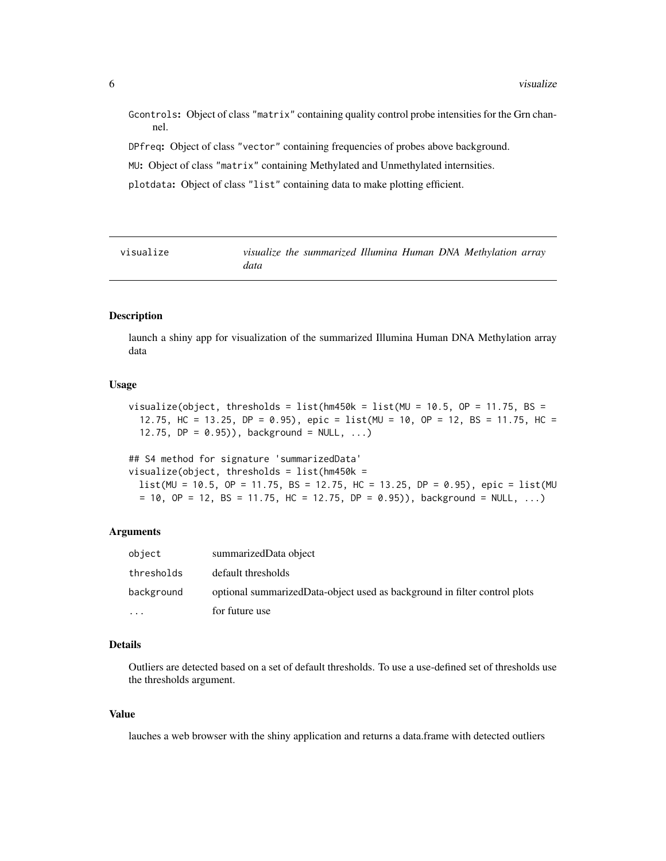<span id="page-5-0"></span>Gcontrols: Object of class "matrix" containing quality control probe intensities for the Grn channel.

DPfreq: Object of class "vector" containing frequencies of probes above background.

MU: Object of class "matrix" containing Methylated and Unmethylated internsities.

plotdata: Object of class "list" containing data to make plotting efficient.

visualize *visualize the summarized Illumina Human DNA Methylation array data*

#### Description

launch a shiny app for visualization of the summarized Illumina Human DNA Methylation array data

#### Usage

visualize(object, thresholds = list(hm450k = list(MU = 10.5, OP = 11.75, BS = 12.75, HC = 13.25, DP = 0.95), epic = list(MU = 10, OP = 12, BS = 11.75, HC = 12.75, DP = 0.95)), background =  $NULL, ...)$ 

## S4 method for signature 'summarizedData' visualize(object, thresholds = list(hm450k =  $list(MU = 10.5, OP = 11.75, BS = 12.75, HC = 13.25, DP = 0.95)$ , epic = list(MU  $= 10$ , OP = 12, BS = 11.75, HC = 12.75, DP = 0.95)), background = NULL, ...)

#### Arguments

| object     | summarizedData object                                                      |
|------------|----------------------------------------------------------------------------|
| thresholds | default thresholds                                                         |
| background | optional summarized Data-object used as background in filter control plots |
| .          | for future use                                                             |

#### Details

Outliers are detected based on a set of default thresholds. To use a use-defined set of thresholds use the thresholds argument.

#### Value

lauches a web browser with the shiny application and returns a data.frame with detected outliers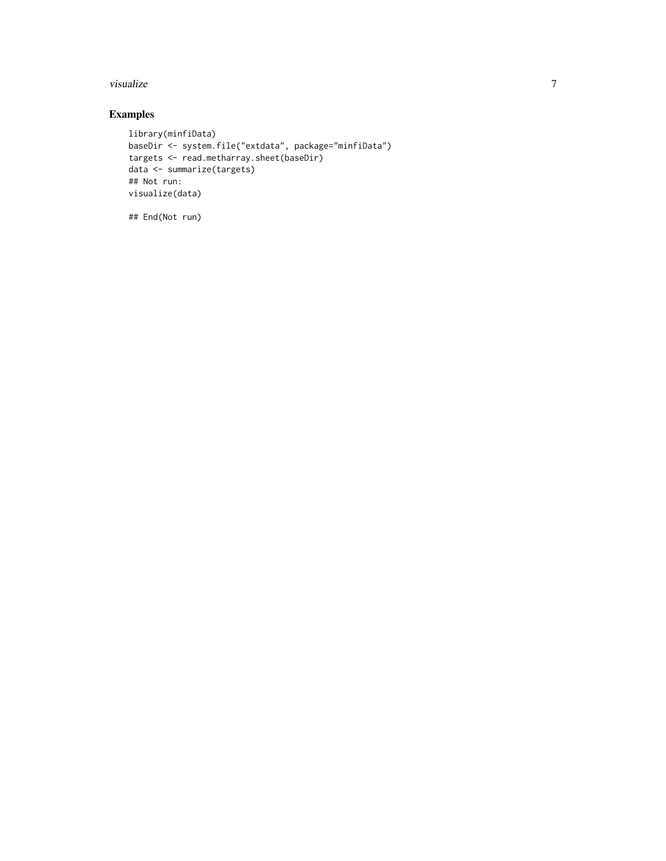#### visualize 7 and 7 and 7 and 7 and 7 and 7 and 7 and 7 and 7 and 7 and 7 and 7 and 7 and 7 and 7 and 7 and 7 and 7 and 7 and 7 and 7 and 7 and 7 and 7 and 7 and 7 and 7 and 7 and 7 and 7 and 7 and 7 and 7 and 7 and 7 and 7

#### Examples

```
library(minfiData)
baseDir <- system.file("extdata", package="minfiData")
targets <- read.metharray.sheet(baseDir)
data <- summarize(targets)
## Not run:
visualize(data)
```
## End(Not run)